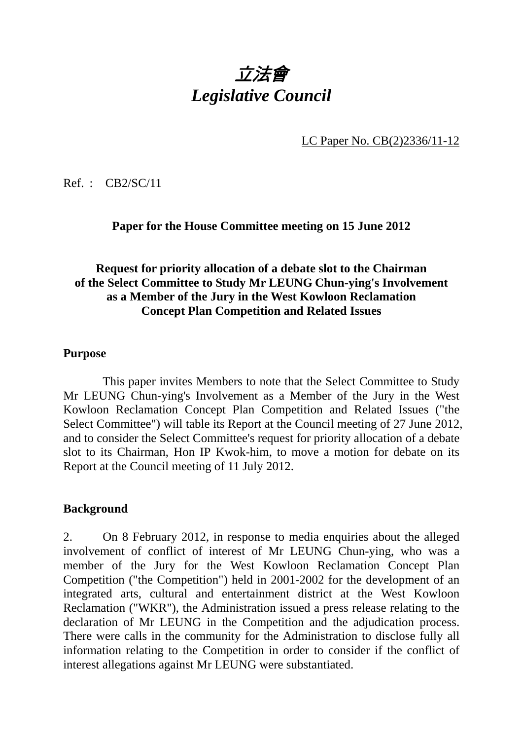# 立法會 *Legislative Council*

LC Paper No. CB(2)2336/11-12

Ref. : CB2/SC/11

#### **Paper for the House Committee meeting on 15 June 2012**

## **Request for priority allocation of a debate slot to the Chairman of the Select Committee to Study Mr LEUNG Chun-ying's Involvement as a Member of the Jury in the West Kowloon Reclamation Concept Plan Competition and Related Issues**

#### **Purpose**

1. This paper invites Members to note that the Select Committee to Study Mr LEUNG Chun-ying's Involvement as a Member of the Jury in the West Kowloon Reclamation Concept Plan Competition and Related Issues ("the Select Committee") will table its Report at the Council meeting of 27 June 2012, and to consider the Select Committee's request for priority allocation of a debate slot to its Chairman, Hon IP Kwok-him, to move a motion for debate on its Report at the Council meeting of 11 July 2012.

#### **Background**

2. On 8 February 2012, in response to media enquiries about the alleged involvement of conflict of interest of Mr LEUNG Chun-ying, who was a member of the Jury for the West Kowloon Reclamation Concept Plan Competition ("the Competition") held in 2001-2002 for the development of an integrated arts, cultural and entertainment district at the West Kowloon Reclamation ("WKR"), the Administration issued a press release relating to the declaration of Mr LEUNG in the Competition and the adjudication process. There were calls in the community for the Administration to disclose fully all information relating to the Competition in order to consider if the conflict of interest allegations against Mr LEUNG were substantiated.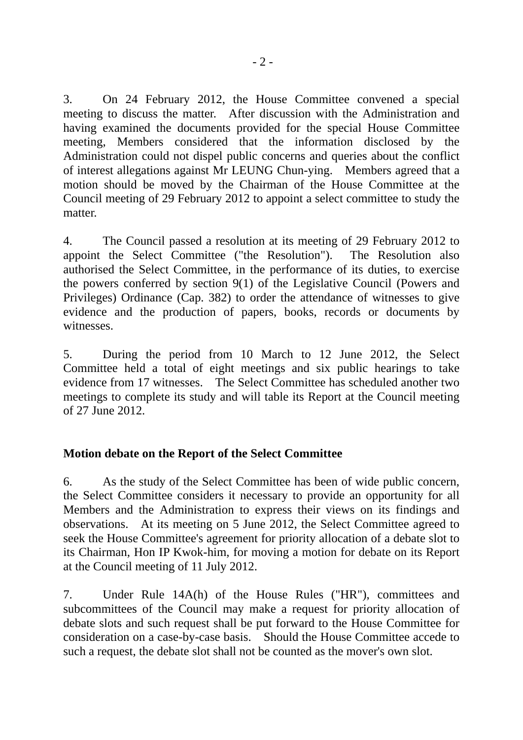3. On 24 February 2012, the House Committee convened a special meeting to discuss the matter. After discussion with the Administration and having examined the documents provided for the special House Committee meeting, Members considered that the information disclosed by the Administration could not dispel public concerns and queries about the conflict of interest allegations against Mr LEUNG Chun-ying. Members agreed that a motion should be moved by the Chairman of the House Committee at the Council meeting of 29 February 2012 to appoint a select committee to study the matter.

4. The Council passed a resolution at its meeting of 29 February 2012 to appoint the Select Committee ("the Resolution"). The Resolution also authorised the Select Committee, in the performance of its duties, to exercise the powers conferred by section 9(1) of the Legislative Council (Powers and Privileges) Ordinance (Cap. 382) to order the attendance of witnesses to give evidence and the production of papers, books, records or documents by witnesses.

5. During the period from 10 March to 12 June 2012, the Select Committee held a total of eight meetings and six public hearings to take evidence from 17 witnesses. The Select Committee has scheduled another two meetings to complete its study and will table its Report at the Council meeting of 27 June 2012.

## **Motion debate on the Report of the Select Committee**

6. As the study of the Select Committee has been of wide public concern, the Select Committee considers it necessary to provide an opportunity for all Members and the Administration to express their views on its findings and observations. At its meeting on 5 June 2012, the Select Committee agreed to seek the House Committee's agreement for priority allocation of a debate slot to its Chairman, Hon IP Kwok-him, for moving a motion for debate on its Report at the Council meeting of 11 July 2012.

7. Under Rule 14A(h) of the House Rules ("HR"), committees and subcommittees of the Council may make a request for priority allocation of debate slots and such request shall be put forward to the House Committee for consideration on a case-by-case basis. Should the House Committee accede to such a request, the debate slot shall not be counted as the mover's own slot.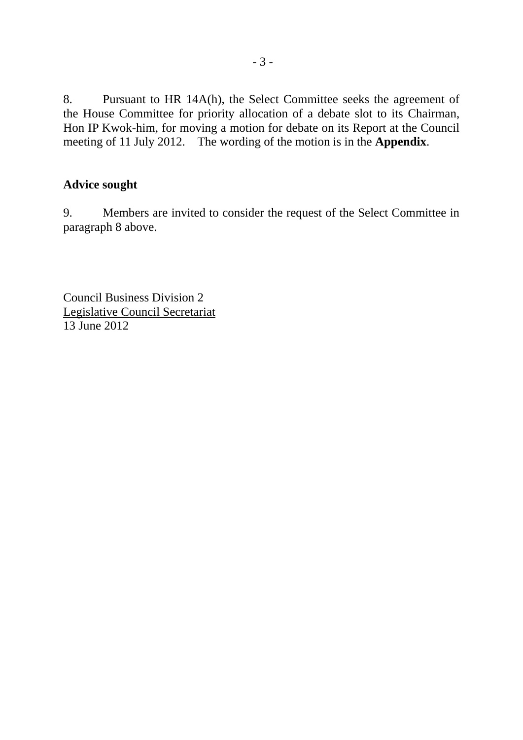8. Pursuant to HR 14A(h), the Select Committee seeks the agreement of the House Committee for priority allocation of a debate slot to its Chairman, Hon IP Kwok-him, for moving a motion for debate on its Report at the Council meeting of 11 July 2012. The wording of the motion is in the **Appendix**.

#### **Advice sought**

9. Members are invited to consider the request of the Select Committee in paragraph 8 above.

Council Business Division 2 Legislative Council Secretariat 13 June 2012